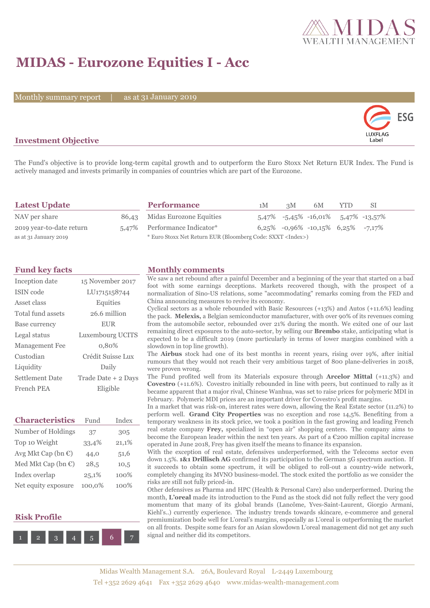

## **MIDAS - Eurozone Equities I - Acc**

Monthly summary report

31 January 2019



### **Investment Objective**

The Fund's objective is to provide long-term capital growth and to outperform the Euro Stoxx Net Return EUR Index. The Fund is actively managed and invests primarily in companies of countries which are part of the Eurozone.

| <b>Latest Update</b>     |  | <b>Performance</b>                                                 | 1M | 3M | 6M                                        | YTD. | -SI. |
|--------------------------|--|--------------------------------------------------------------------|----|----|-------------------------------------------|------|------|
| NAV per share            |  | 86,43 Midas Eurozone Equities                                      |    |    | $5,47\%$ -5,45\% -16,01\% 5,47\% -13,57\% |      |      |
| 2019 year-to-date return |  | 5,47% Performance Indicator*                                       |    |    | $6,25\%$ -0,96% -10,15% 6,25% -7,17%      |      |      |
| as at 31 January 2019    |  | * Euro Stoxx Net Return EUR (Bloomberg Code: SXXT <index>)</index> |    |    |                                           |      |      |

| Inception date         | 15 November 2017    |
|------------------------|---------------------|
| <b>ISIN</b> code       | LU1715158744        |
| Asset class            | Equities            |
| Total fund assets      | 26.6 million        |
| Base currency          | <b>EUR</b>          |
| Legal status           | Luxembourg UCITS    |
| <b>Management</b> Fee  | 0,80%               |
| Custodian              | Crédit Suisse Lux   |
| Liquidity              | Daily               |
| <b>Settlement Date</b> | Trade Date + 2 Days |
| French PEA             | Eligible            |

| <b>Characteristics</b>       | Fund   | Index |
|------------------------------|--------|-------|
| Number of Holdings           | 37     | 305   |
| Top 10 Weight                | 33,4%  | 21,1% |
| Avg Mkt Cap (bn $\epsilon$ ) | 44,0   | 51,6  |
| Med Mkt Cap (bn €)           | 28,5   | 10,5  |
| Index overlap                | 25,1%  | 100%  |
| Net equity exposure          | 100,0% | 100%  |





### **Fund key facts Monthly comments**

We saw a net rebound after a painful December and a beginning of the year that started on a bad foot with some earnings deceptions. Markets recovered though, with the prospect of a normalization of Sino-US relations, some "accommodating" remarks coming from the FED and China announcing measures to revive its economy.

Cyclical sectors as a whole rebounded with Basic Resources (+13%) and Autos (+11.6%) leading the pack. **Melexis,** a Belgian semiconductor manufacturer, with over 90% of its revenues coming from the automobile sector, rebounded over 21% during the month. We exited one of our last remaining direct exposures to the auto-sector, by selling our **Brembo** stake, anticipating what is expected to be a difficult 2019 (more particularly in terms of lower margins combined with a slowdown in top line growth).

The **Airbus** stock had one of its best months in recent years, rising over 19%, after initial rumours that they would not reach their very ambitious target of 800 plane-deliveries in 2018, were proven wrong.

The Fund profited well from its Materials exposure through **Arcelor Mittal** (+11.3%) and **Covestro** (+11.6%). Covestro initially rebounded in line with peers, but continued to rally as it became apparent that a major rival, Chinese Wanhua, was set to raise prices for polymeric MDI in February. Polymeric MDI prices are an important driver for Covestro's profit margins.

In a market that was risk-on, interest rates were down, allowing the Real Estate sector (11.2%) to perform well. **Grand City Properties** was no exception and rose 14,5%. Benefiting from a temporary weakness in its stock price, we took a position in the fast growing and leading French real estate company **Frey,** specialized in "open air" shopping centers. The company aims to become the European leader within the next ten years. As part of a €200 million capital increase operated in June 2018, Frey has given itself the means to finance its expansion.

With the exception of real estate, defensives underperformed, with the Telecoms sector even down 1.5%. **1&1 Drillisch AG** confirmed its participation to the German 5G spectrum auction. If it succeeds to obtain some spectrum, it will be obliged to roll-out a country-wide network, completely changing its MVNO business-model. The stock exited the portfolio as we consider the risks are still not fully priced-in.

Other defensives as Pharma and HPC (Health & Personal Care) also underperformed. During the month, **L'oreal** made its introduction to the Fund as the stock did not fully reflect the very good momentum that many of its global brands (Lancôme, Yves-Saint-Laurent, Giorgio Armani, Kiehl's..) currently experience. The industry trends towards skincare, e-commerce and general premiumization bode well for L'oreal's margins, especially as L'oreal is outperforming the market on all fronts. Despite some fears for an Asian slowdown L'oreal management did not get any such